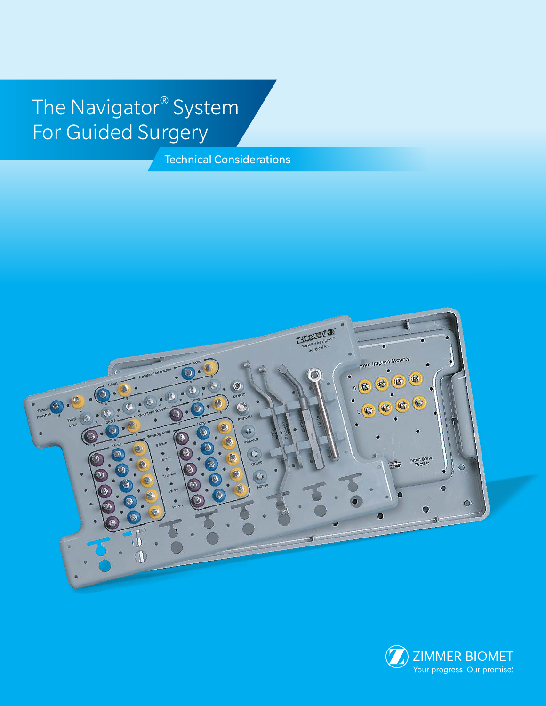# The Navigator® System For Guided Surgery

Technical Considerations



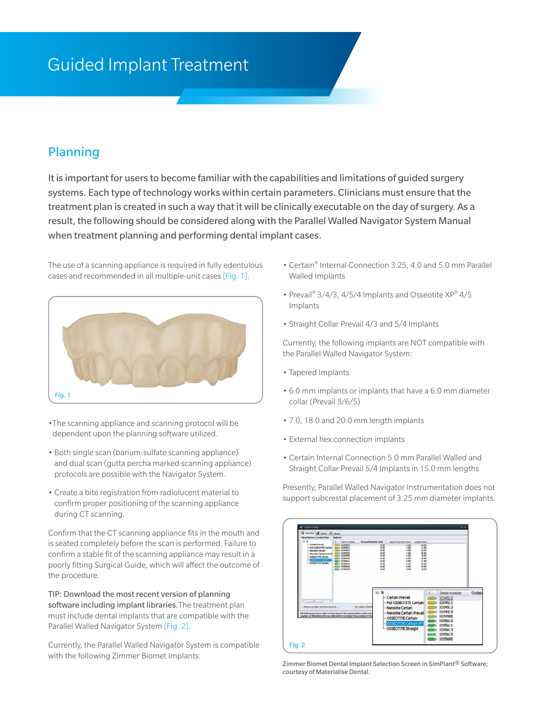## Guided Implant Treatment

#### Planning

It is important for users to become familiar with the capabilities and limitations of guided surgery systems. Each type of technology works within certain parameters. Clinicians must ensure that the treatment plan is created in such a way that it will be clinically executable on the day of surgery. As a result, the following should be considered along with the Parallel Walled Navigator System Manual when treatment planning and performing dental implant cases.

The use of a scanning appliance is required in fully edentulous cases and recommended in all multiple-unit cases [Fig. 1].



- •The scanning appliance and scanning protocol will be dependent upon the planning software utilized.
- Both single scan (barium-sulfate scanning appliance) and dual scan (gutta percha marked scanning appliance) protocols are possible with the Navigator System.
- Create a bite registration from radiolucent material to confirm proper positioning of the scanning appliance during CT scanning.

Confirm that the CT scanning appliance fits in the mouth and is seated completely before the scan is performed. Failure to confirm a stable fit of the scanning appliance may result in a poorly fitting Surgical Guide, which will affect the outcome of the procedure.

TIP: Download the most recent version of planning software including implant libraries. The treatment plan must include dental implants that are compatible with the Parallel Walled Navigator System [Fig. 2].

Currently, the Parallel Walled Navigator System is compatible with the following Zimmer Biomet Implants:

- Certain® Internal Connection 3.25, 4.0 and 5.0 mm Parallel Walled Implants
- Prevail® 3/4/3, 4/5/4 Implants and Osseotite XP® 4/5 Implants
- Straight Collar Prevail 4/3 and 5/4 Implants

Currently, the following implants are NOT compatible with the Parallel Walled Navigator System:

- Tapered Implants
- 6.0 mm implants or implants that have a 6.0 mm diameter collar (Prevail 5/6/5)
- 7.0, 18.0 and 20.0 mm length implants
- External hex connection implants
- Certain Internal Connection 5.0 mm Parallel Walled and Straight Collar Prevail 5/4 Implants in 15.0 mm lengths

Presently, Parallel Walled Navigator Instrumentation does not support subcrestal placement of 3.25 mm diameter implants.



Zimmer Biomet Dental Implant Selection Screen in SimPlant® Software; courtesy of Materialise Dental.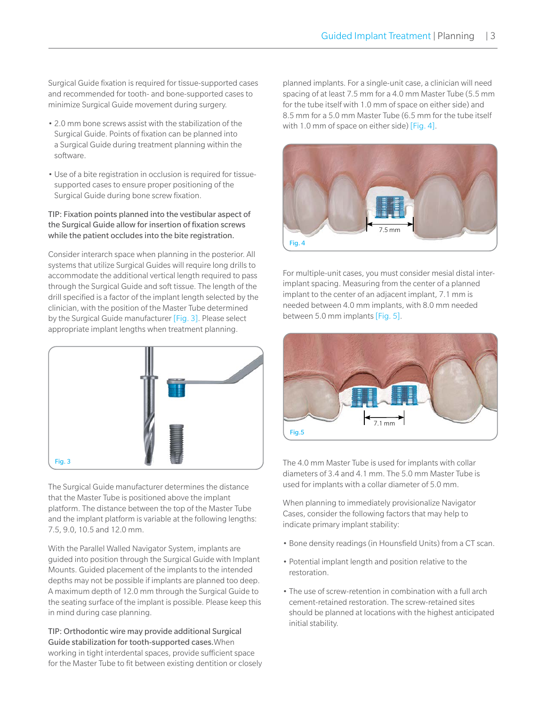Surgical Guide fixation is required for tissue-supported cases and recommended for tooth- and bone-supported cases to minimize Surgical Guide movement during surgery.

- 2.0 mm bone screws assist with the stabilization of the Surgical Guide. Points of fixation can be planned into a Surgical Guide during treatment planning within the software.
- Use of a bite registration in occlusion is required for tissuesupported cases to ensure proper positioning of the Surgical Guide during bone screw fixation.

#### TIP: Fixation points planned into the vestibular aspect of the Surgical Guide allow for insertion of fixation screws while the patient occludes into the bite registration.

Consider interarch space when planning in the posterior. All systems that utilize Surgical Guides will require long drills to accommodate the additional vertical length required to pass through the Surgical Guide and soft tissue. The length of the drill specified is a factor of the implant length selected by the clinician, with the position of the Master Tube determined by the Surgical Guide manufacturer [Fig. 3]. Please select appropriate implant lengths when treatment planning.



The Surgical Guide manufacturer determines the distance that the Master Tube is positioned above the implant platform. The distance between the top of the Master Tube and the implant platform is variable at the following lengths: 7.5, 9.0, 10.5 and 12.0 mm.

With the Parallel Walled Navigator System, implants are guided into position through the Surgical Guide with Implant Mounts. Guided placement of the implants to the intended depths may not be possible if implants are planned too deep. A maximum depth of 12.0 mm through the Surgical Guide to the seating surface of the implant is possible. Please keep this in mind during case planning.

TIP: Orthodontic wire may provide additional Surgical Guide stabilization for tooth-supported cases.When working in tight interdental spaces, provide sufficient space for the Master Tube to fit between existing dentition or closely

planned implants. For a single-unit case, a clinician will need spacing of at least 7.5 mm for a 4.0 mm Master Tube (5.5 mm for the tube itself with 1.0 mm of space on either side) and 8.5 mm for a 5.0 mm Master Tube (6.5 mm for the tube itself with 1.0 mm of space on either side) [Fig. 4].



For multiple-unit cases, you must consider mesial distal interimplant spacing. Measuring from the center of a planned implant to the center of an adjacent implant, 7.1 mm is needed between 4.0 mm implants, with 8.0 mm needed between 5.0 mm implants [Fig. 5].



The 4.0 mm Master Tube is used for implants with collar diameters of 3.4 and 4.1 mm. The 5.0 mm Master Tube is used for implants with a collar diameter of 5.0 mm.

When planning to immediately provisionalize Navigator Cases, consider the following factors that may help to indicate primary implant stability:

- Bone density readings (in Hounsfield Units) from a CT scan.
- Potential implant length and position relative to the restoration.
- The use of screw-retention in combination with a full arch cement-retained restoration. The screw-retained sites should be planned at locations with the highest anticipated initial stability.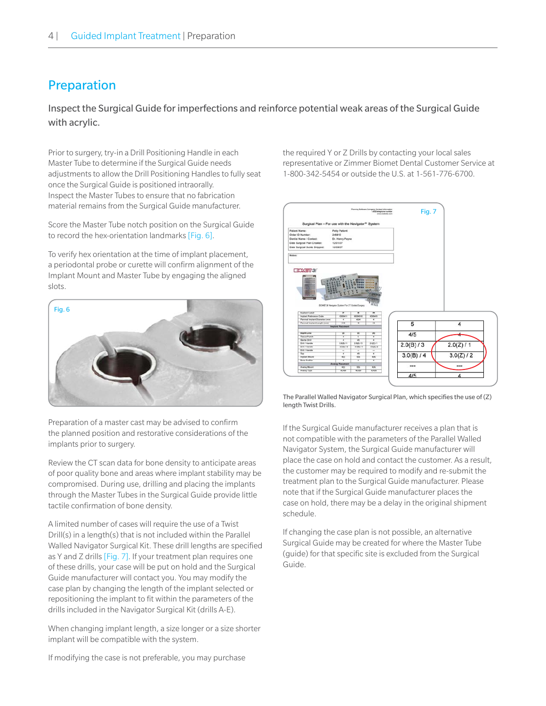### Preparation

Inspect the Surgical Guide for imperfections and reinforce potential weak areas of the Surgical Guide with acrylic.

Prior to surgery, try-in a Drill Positioning Handle in each Master Tube to determine if the Surgical Guide needs adjustments to allow the Drill Positioning Handles to fully seat once the Surgical Guide is positioned intraorally. Inspect the Master Tubes to ensure that no fabrication material remains from the Surgical Guide manufacturer.

Score the Master Tube notch position on the Surgical Guide to record the hex-orientation landmarks [Fig. 6].

To verify hex orientation at the time of implant placement, a periodontal probe or curette will confirm alignment of the Implant Mount and Master Tube by engaging the aligned slots.



Preparation of a master cast may be advised to confirm the planned position and restorative considerations of the implants prior to surgery.

Review the CT scan data for bone density to anticipate areas of poor quality bone and areas where implant stability may be compromised. During use, drilling and placing the implants through the Master Tubes in the Surgical Guide provide little tactile confirmation of bone density.

A limited number of cases will require the use of a Twist Drill(s) in a length(s) that is not included within the Parallel Walled Navigator Surgical Kit. These drill lengths are specified as Y and Z drills [Fig. 7]. If your treatment plan requires one of these drills, your case will be put on hold and the Surgical Guide manufacturer will contact you. You may modify the case plan by changing the length of the implant selected or repositioning the implant to fit within the parameters of the drills included in the Navigator Surgical Kit (drills A-E).

When changing implant length, a size longer or a size shorter implant will be compatible with the system.

the required Y or Z Drills by contacting your local sales representative or Zimmer Biomet Dental Customer Service at 1-800-342-5454 or outside the U.S. at 1-561-776-6700.



The Parallel Walled Navigator Surgical Plan, which specifies the use of (Z) length Twist Drills.

If the Surgical Guide manufacturer receives a plan that is not compatible with the parameters of the Parallel Walled Navigator System, the Surgical Guide manufacturer will place the case on hold and contact the customer. As a result, the customer may be required to modify and re-submit the treatment plan to the Surgical Guide manufacturer. Please note that if the Surgical Guide manufacturer places the case on hold, there may be a delay in the original shipment schedule.

If changing the case plan is not possible, an alternative Surgical Guide may be created for where the Master Tube (guide) for that specific site is excluded from the Surgical Guide.

If modifying the case is not preferable, you may purchase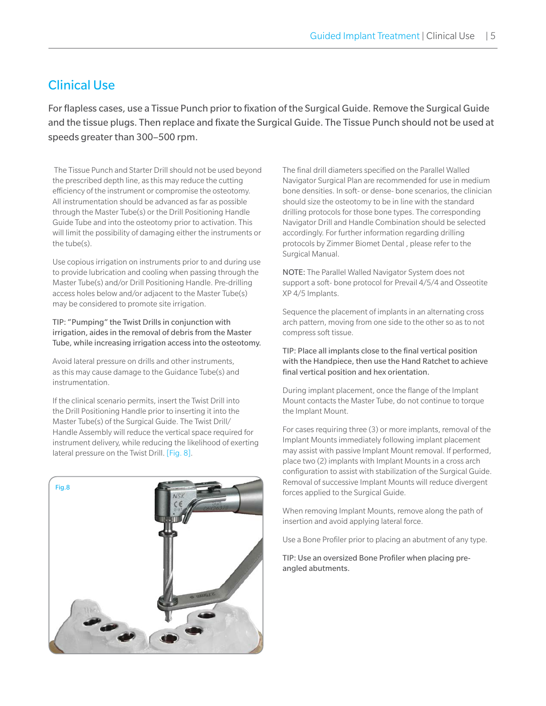#### Clinical Use

For flapless cases, use a Tissue Punch prior to fixation of the Surgical Guide. Remove the Surgical Guide and the tissue plugs. Then replace and fixate the Surgical Guide. The Tissue Punch should not be used at speeds greater than 300–500 rpm.

 The Tissue Punch and Starter Drill should not be used beyond the prescribed depth line, as this may reduce the cutting efficiency of the instrument or compromise the osteotomy. All instrumentation should be advanced as far as possible through the Master Tube(s) or the Drill Positioning Handle Guide Tube and into the osteotomy prior to activation. This will limit the possibility of damaging either the instruments or the tube(s).

Use copious irrigation on instruments prior to and during use to provide lubrication and cooling when passing through the Master Tube(s) and/or Drill Positioning Handle. Pre-drilling access holes below and/or adjacent to the Master Tube(s) may be considered to promote site irrigation.

TIP: "Pumping" the Twist Drills in conjunction with irrigation, aides in the removal of debris from the Master Tube, while increasing irrigation access into the osteotomy.

Avoid lateral pressure on drills and other instruments, as this may cause damage to the Guidance Tube(s) and instrumentation.

If the clinical scenario permits, insert the Twist Drill into the Drill Positioning Handle prior to inserting it into the Master Tube(s) of the Surgical Guide. The Twist Drill/ Handle Assembly will reduce the vertical space required for instrument delivery, while reducing the likelihood of exerting lateral pressure on the Twist Drill. [Fig. 8].



The final drill diameters specified on the Parallel Walled Navigator Surgical Plan are recommended for use in medium bone densities. In soft- or dense- bone scenarios, the clinician should size the osteotomy to be in line with the standard drilling protocols for those bone types. The corresponding Navigator Drill and Handle Combination should be selected accordingly. For further information regarding drilling protocols by Zimmer Biomet Dental , please refer to the Surgical Manual.

NOTE: The Parallel Walled Navigator System does not support a soft- bone protocol for Prevail 4/5/4 and Osseotite XP 4/5 Implants.

Sequence the placement of implants in an alternating cross arch pattern, moving from one side to the other so as to not compress soft tissue.

#### TIP: Place all implants close to the final vertical position with the Handpiece, then use the Hand Ratchet to achieve final vertical position and hex orientation.

During implant placement, once the flange of the Implant Mount contacts the Master Tube, do not continue to torque the Implant Mount.

For cases requiring three (3) or more implants, removal of the Implant Mounts immediately following implant placement may assist with passive Implant Mount removal. If performed, place two (2) implants with Implant Mounts in a cross arch configuration to assist with stabilization of the Surgical Guide. Removal of successive Implant Mounts will reduce divergent forces applied to the Surgical Guide.

When removing Implant Mounts, remove along the path of insertion and avoid applying lateral force.

Use a Bone Profiler prior to placing an abutment of any type.

TIP: Use an oversized Bone Profiler when placing preangled abutments.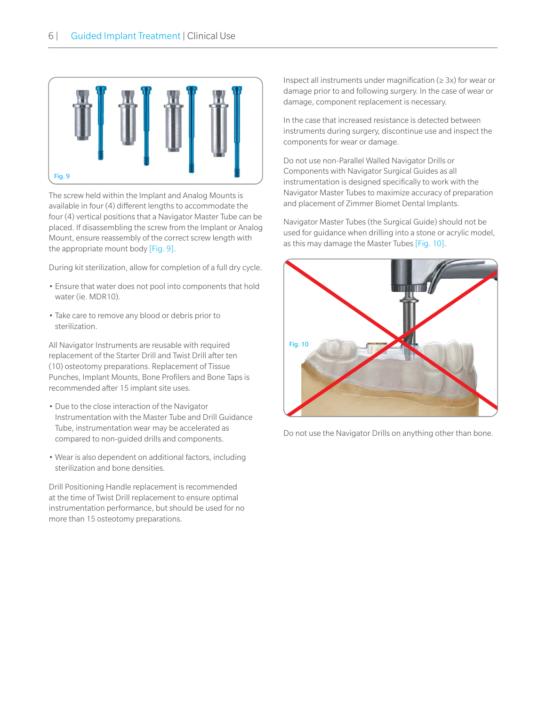

The screw held within the Implant and Analog Mounts is available in four (4) different lengths to accommodate the four (4) vertical positions that a Navigator Master Tube can be placed. If disassembling the screw from the Implant or Analog Mount, ensure reassembly of the correct screw length with the appropriate mount body [Fig. 9].

During kit sterilization, allow for completion of a full dry cycle.

- Ensure that water does not pool into components that hold water (ie. MDR10).
- Take care to remove any blood or debris prior to sterilization.

All Navigator Instruments are reusable with required replacement of the Starter Drill and Twist Drill after ten (10) osteotomy preparations. Replacement of Tissue Punches, Implant Mounts, Bone Profilers and Bone Taps is recommended after 15 implant site uses.

- Due to the close interaction of the Navigator Instrumentation with the Master Tube and Drill Guidance Tube, instrumentation wear may be accelerated as compared to non-guided drills and components.
- Wear is also dependent on additional factors, including sterilization and bone densities.

Drill Positioning Handle replacement is recommended at the time of Twist Drill replacement to ensure optimal instrumentation performance, but should be used for no more than 15 osteotomy preparations.

Inspect all instruments under magnification ( $\geq$  3x) for wear or damage prior to and following surgery. In the case of wear or damage, component replacement is necessary.

In the case that increased resistance is detected between instruments during surgery, discontinue use and inspect the components for wear or damage.

Do not use non-Parallel Walled Navigator Drills or Components with Navigator Surgical Guides as all instrumentation is designed specifically to work with the Navigator Master Tubes to maximize accuracy of preparation and placement of Zimmer Biomet Dental Implants.

Navigator Master Tubes (the Surgical Guide) should not be used for guidance when drilling into a stone or acrylic model, as this may damage the Master Tubes [Fig. 10].



Do not use the Navigator Drills on anything other than bone.